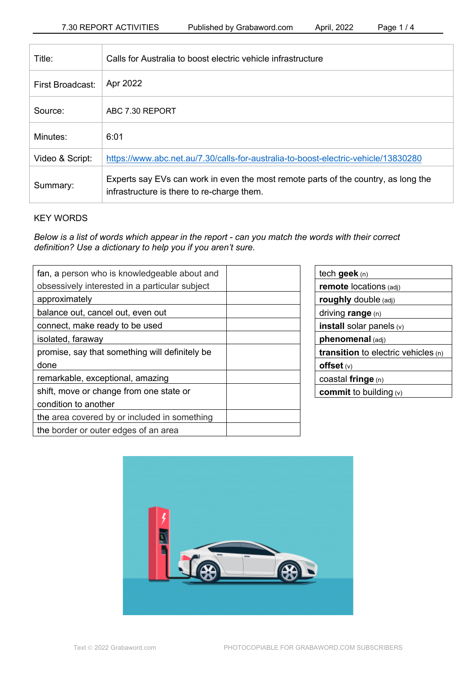| Title:           | Calls for Australia to boost electric vehicle infrastructure                                                                     |
|------------------|----------------------------------------------------------------------------------------------------------------------------------|
| First Broadcast: | Apr 2022                                                                                                                         |
| Source:          | ABC 7.30 REPORT                                                                                                                  |
| Minutes:         | 6:01                                                                                                                             |
| Video & Script:  | https://www.abc.net.au/7.30/calls-for-australia-to-boost-electric-vehicle/13830280                                               |
| Summary:         | Experts say EVs can work in even the most remote parts of the country, as long the<br>infrastructure is there to re-charge them. |

# KEY WORDS

*Below is a list of words which appear in the report - can you match the words with their correct definition? Use a dictionary to help you if you aren't sure.*

| fan, a person who is knowledgeable about and   |
|------------------------------------------------|
| obsessively interested in a particular subject |
| approximately                                  |
| balance out, cancel out, even out              |
| connect, make ready to be used                 |
| isolated, faraway                              |
| promise, say that something will definitely be |
| done                                           |
| remarkable, exceptional, amazing               |
| shift, move or change from one state or        |
| condition to another                           |
| the area covered by or included in something   |
| the border or outer edges of an area           |

| tech geek $(n)$                              |  |  |  |
|----------------------------------------------|--|--|--|
| <b>remote</b> locations (adj)                |  |  |  |
| roughly double (adj)                         |  |  |  |
| driving range (n)                            |  |  |  |
| <b>install</b> solar panels $(v)$            |  |  |  |
| phenomenal (adj)                             |  |  |  |
| <b>transition</b> to electric vehicles $(n)$ |  |  |  |
| offset $(v)$                                 |  |  |  |
| coastal fringe (n)                           |  |  |  |
| <b>commit</b> to building $(v)$              |  |  |  |
|                                              |  |  |  |

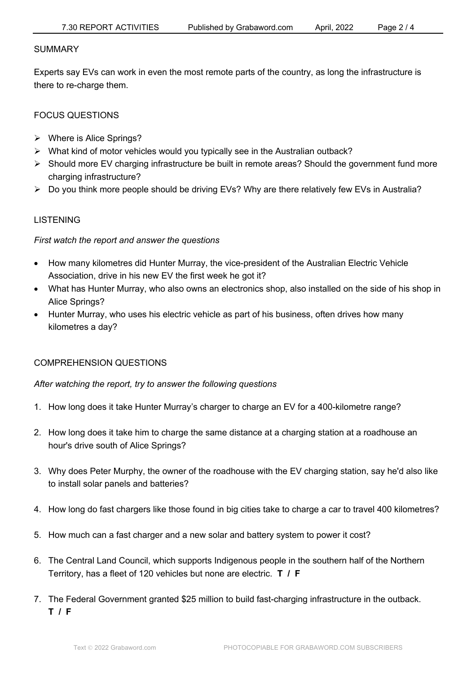#### SUMMARY

Experts say EVs can work in even the most remote parts of the country, as long the infrastructure is there to re-charge them.

# FOCUS QUESTIONS

- $\triangleright$  Where is Alice Springs?
- $\triangleright$  What kind of motor vehicles would you typically see in the Australian outback?
- $\triangleright$  Should more EV charging infrastructure be built in remote areas? Should the government fund more charging infrastructure?
- Ø Do you think more people should be driving EVs? Why are there relatively few EVs in Australia?

# LISTENING

## *First watch the report and answer the questions*

- How many kilometres did Hunter Murray, the vice-president of the Australian Electric Vehicle Association, drive in his new EV the first week he got it?
- What has Hunter Murray, who also owns an electronics shop, also installed on the side of his shop in Alice Springs?
- Hunter Murray, who uses his electric vehicle as part of his business, often drives how many kilometres a day?

# COMPREHENSION QUESTIONS

*After watching the report, try to answer the following questions*

- 1. How long does it take Hunter Murray's charger to charge an EV for a 400-kilometre range?
- 2. How long does it take him to charge the same distance at a charging station at a roadhouse an hour's drive south of Alice Springs?
- 3. Why does Peter Murphy, the owner of the roadhouse with the EV charging station, say he'd also like to install solar panels and batteries?
- 4. How long do fast chargers like those found in big cities take to charge a car to travel 400 kilometres?
- 5. How much can a fast charger and a new solar and battery system to power it cost?
- 6. The Central Land Council, which supports Indigenous people in the southern half of the Northern Territory, has a fleet of 120 vehicles but none are electric. **T / F**
- 7. The Federal Government granted \$25 million to build fast-charging infrastructure in the outback. **T / F**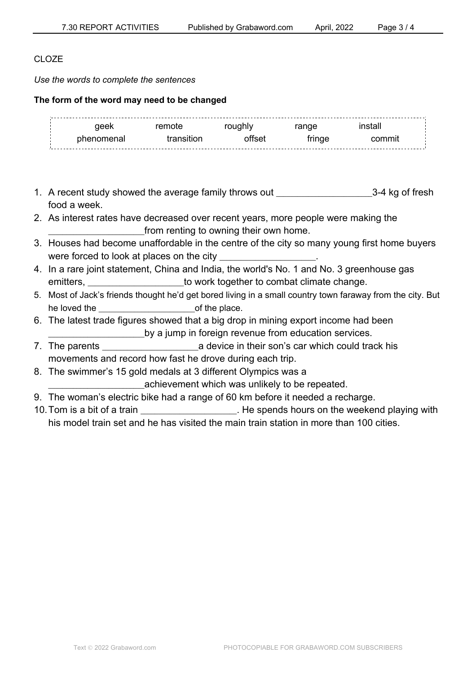# CLO<sub>ZE</sub>

*Use the words to complete the sentences*

#### **The form of the word may need to be changed**

| -------------------------------<br>100k | emote <sup>.</sup> | anne. |  |
|-----------------------------------------|--------------------|-------|--|
| nh≙n∩m≙nal                              |                    |       |  |

- 1. A recent study showed the average family throws out \_\_\_\_\_\_\_\_\_\_\_\_\_\_\_\_\_\_\_\_\_\_\_\_\_\_\_3-4 kg of fresh food a week.
- 2. As interest rates have decreased over recent years, more people were making the \_\_\_\_\_\_\_\_\_\_\_\_\_\_\_\_\_\_\_\_\_\_\_\_\_\_\_from renting to owning their own home.
- 3. Houses had become unaffordable in the centre of the city so many young first home buyers were forced to look at places on the city
- 4. In a rare joint statement, China and India, the world's No. 1 and No. 3 greenhouse gas emitters, emitters, entirely not to work together to combat climate change.
- 5. Most of Jack's friends thought he'd get bored living in a small country town faraway from the city. But he loved the **contract the contract of the place**.
- 6. The latest trade figures showed that a big drop in mining export income had been \_\_\_\_\_\_\_\_\_\_\_\_\_\_\_\_\_\_\_\_\_\_\_\_\_\_\_by a jump in foreign revenue from education services.
- 7. The parents **the summan is a series a** device in their son's car which could track his movements and record how fast he drove during each trip.
- 8. The swimmer's 15 gold medals at 3 different Olympics was a

achievement which was unlikely to be repeated.

- 9. The woman's electric bike had a range of 60 km before it needed a recharge.
- 10. Tom is a bit of a train **the set of a train** the spends hours on the weekend playing with his model train set and he has visited the main train station in more than 100 cities.